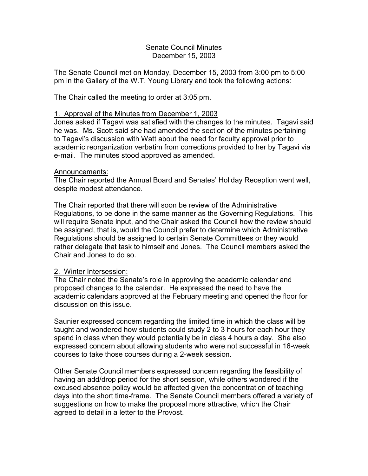## Senate Council Minutes December 15, 2003

The Senate Council met on Monday, December 15, 2003 from 3:00 pm to 5:00 pm in the Gallery of the W.T. Young Library and took the following actions:

The Chair called the meeting to order at 3:05 pm.

# 1. Approval of the Minutes from December 1, 2003

Jones asked if Tagavi was satisfied with the changes to the minutes. Tagavi said he was. Ms. Scott said she had amended the section of the minutes pertaining to Tagavi's discussion with Watt about the need for faculty approval prior to academic reorganization verbatim from corrections provided to her by Tagavi via e-mail. The minutes stood approved as amended.

# Announcements:

The Chair reported the Annual Board and Senates' Holiday Reception went well, despite modest attendance.

The Chair reported that there will soon be review of the Administrative Regulations, to be done in the same manner as the Governing Regulations. This will require Senate input, and the Chair asked the Council how the review should be assigned, that is, would the Council prefer to determine which Administrative Regulations should be assigned to certain Senate Committees or they would rather delegate that task to himself and Jones. The Council members asked the Chair and Jones to do so.

# 2. Winter Intersession:

The Chair noted the Senate's role in approving the academic calendar and proposed changes to the calendar. He expressed the need to have the academic calendars approved at the February meeting and opened the floor for discussion on this issue.

Saunier expressed concern regarding the limited time in which the class will be taught and wondered how students could study 2 to 3 hours for each hour they spend in class when they would potentially be in class 4 hours a day. She also expressed concern about allowing students who were not successful in 16-week courses to take those courses during a 2-week session.

Other Senate Council members expressed concern regarding the feasibility of having an add/drop period for the short session, while others wondered if the excused absence policy would be affected given the concentration of teaching days into the short time-frame. The Senate Council members offered a variety of suggestions on how to make the proposal more attractive, which the Chair agreed to detail in a letter to the Provost.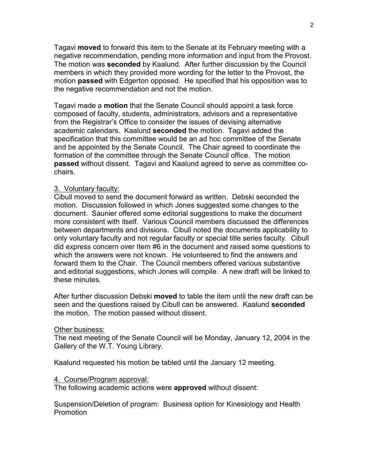Tagavi **moved** to forward this item to the Senate at its February meeting with a negative recommendation, pending more information and input from the Provost. The motion was **seconded** by Kaalund. After further discussion by the Council members in which they provided more wording for the letter to the Provost, the motion **passed** with Edgerton opposed. He specified that his opposition was to the negative recommendation and not the motion.

Tagavi made a **motion** that the Senate Council should appoint a task force composed of faculty, students, administrators, advisors and a representative from the Registrar's Office to consider the issues of devising alternative academic calendars. Kaalund **seconded** the motion. Tagavi added the specification that this committee would be an ad hoc committee of the Senate and be appointed by the Senate Council. The Chair agreed to coordinate the formation of the committee through the Senate Council office. The motion **passed** without dissent. Tagavi and Kaalund agreed to serve as committee cochairs.

# 3. Voluntary faculty:

Cibull moved to send the document forward as written. Debski seconded the motion. Discussion followed in which Jones suggested some changes to the document. Saunier offered some editorial suggestions to make the document more consistent with itself. Various Council members discussed the differences between departments and divisions. Cibull noted the documents applicability to only voluntary faculty and not regular faculty or special title series faculty. Cibull did express concern over Item #6 in the document and raised some questions to which the answers were not known. He volunteered to find the answers and forward them to the Chair. The Council members offered various substantive and editorial suggestions, which Jones will compile. A new draft will be linked to these minutes.

After further discussion Debski **moved** to table the item until the new draft can be seen and the questions raised by Cibull can be answered. Kaalund **seconded** the motion. The motion passed without dissent.

#### Other business:

The next meeting of the Senate Council will be Monday, January 12, 2004 in the Gallery of the W.T. Young Library.

Kaalund requested his motion be tabled until the January 12 meeting.

## 4. Course/Program approval:

The following academic actions were **approved** without dissent:

Suspension/Deletion of program: Business option for Kinesiology and Health Promotion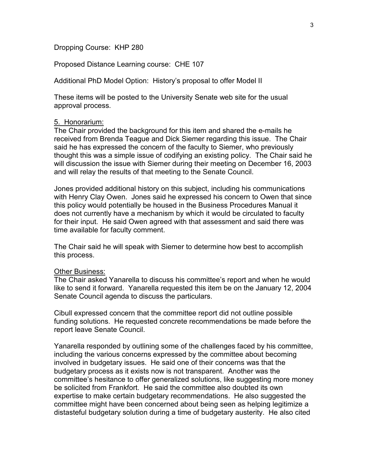Dropping Course: KHP 280

Proposed Distance Learning course: CHE 107

Additional PhD Model Option: History's proposal to offer Model II

These items will be posted to the University Senate web site for the usual approval process.

## 5. Honorarium:

The Chair provided the background for this item and shared the e-mails he received from Brenda Teague and Dick Siemer regarding this issue. The Chair said he has expressed the concern of the faculty to Siemer, who previously thought this was a simple issue of codifying an existing policy. The Chair said he will discussion the issue with Siemer during their meeting on December 16, 2003 and will relay the results of that meeting to the Senate Council.

Jones provided additional history on this subject, including his communications with Henry Clay Owen. Jones said he expressed his concern to Owen that since this policy would potentially be housed in the Business Procedures Manual it does not currently have a mechanism by which it would be circulated to faculty for their input. He said Owen agreed with that assessment and said there was time available for faculty comment.

The Chair said he will speak with Siemer to determine how best to accomplish this process.

#### Other Business:

The Chair asked Yanarella to discuss his committee's report and when he would like to send it forward. Yanarella requested this item be on the January 12, 2004 Senate Council agenda to discuss the particulars.

Cibull expressed concern that the committee report did not outline possible funding solutions. He requested concrete recommendations be made before the report leave Senate Council.

Yanarella responded by outlining some of the challenges faced by his committee, including the various concerns expressed by the committee about becoming involved in budgetary issues. He said one of their concerns was that the budgetary process as it exists now is not transparent. Another was the committee's hesitance to offer generalized solutions, like suggesting more money be solicited from Frankfort. He said the committee also doubted its own expertise to make certain budgetary recommendations. He also suggested the committee might have been concerned about being seen as helping legitimize a distasteful budgetary solution during a time of budgetary austerity. He also cited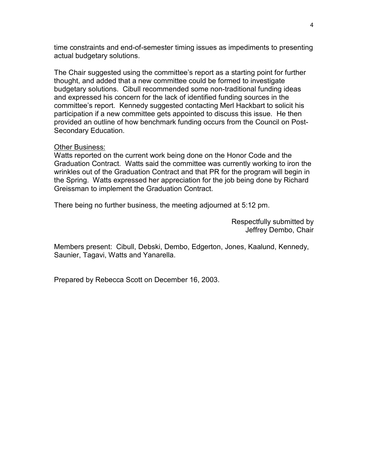time constraints and end-of-semester timing issues as impediments to presenting actual budgetary solutions.

The Chair suggested using the committee's report as a starting point for further thought, and added that a new committee could be formed to investigate budgetary solutions. Cibull recommended some non-traditional funding ideas and expressed his concern for the lack of identified funding sources in the committee's report. Kennedy suggested contacting Merl Hackbart to solicit his participation if a new committee gets appointed to discuss this issue. He then provided an outline of how benchmark funding occurs from the Council on Post-Secondary Education.

## Other Business:

Watts reported on the current work being done on the Honor Code and the Graduation Contract. Watts said the committee was currently working to iron the wrinkles out of the Graduation Contract and that PR for the program will begin in the Spring. Watts expressed her appreciation for the job being done by Richard Greissman to implement the Graduation Contract.

There being no further business, the meeting adjourned at 5:12 pm.

Respectfully submitted by Jeffrey Dembo, Chair

Members present: Cibull, Debski, Dembo, Edgerton, Jones, Kaalund, Kennedy, Saunier, Tagavi, Watts and Yanarella.

Prepared by Rebecca Scott on December 16, 2003.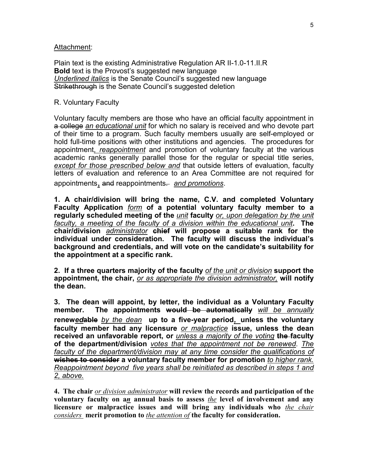### Attachment:

Plain text is the existing Administrative Regulation AR II-1.0-11.II.R **Bold** text is the Provost's suggested new language *Underlined italics* is the Senate Council's suggested new language Strikethrough is the Senate Council's suggested deletion

### R. Voluntary Faculty

Voluntary faculty members are those who have an official faculty appointment in a college *an educational unit* for which no salary is received and who devote part of their time to a program. Such faculty members usually are self-employed or hold full-time positions with other institutions and agencies. The procedures for appointment, *reappointment* and promotion of voluntary faculty at the various academic ranks generally parallel those for the regular or special title series, *except for those prescribed below and* that outside letters of evaluation, faculty letters of evaluation and reference to an Area Committee are not required for appointments, and reappointments. *and promotions*.

**1. A chair/division will bring the name, C.V. and completed Voluntary Faculty Application** *form* **of a potential voluntary faculty member to a regularly scheduled meeting of the** *unit* **faculty** *or, upon delegation by the unit faculty, a meeting of the faculty of a division within the educational unit***. The chair/division** *administrator* **chief will propose a suitable rank for the individual under consideration. The faculty will discuss the individual's background and credentials, and will vote on the candidate's suitability for the appointment at a specific rank.** 

**2. If a three quarters majority of the faculty** *of the unit or division* **support the appointment, the chair,** *or as appropriate the division administrator,* **will notify the dean.**

**3. The dean will appoint, by letter, the individual as a Voluntary Faculty member. The appointments would be automatically** *will be annually* **renew***ed***able** *by the dean* **up to a five-year period***,* **unless the voluntary faculty member had any licensure** *or malpractice* **issue, unless the dean received an unfavorable report, or** *unless a majority of the voting* **the faculty of the department/division** *votes that the appointment not be renewed*. *The*  faculty of the department/division may at any time consider the qualifications of **wishes to consider a voluntary faculty member for promotion** *to higher rank. Reappointment beyond five years shall be reinitiated as described in steps 1 and 2, above.*

**4. The chair** *or division administrator* **will review the records and participation of the voluntary faculty on a***n* **annual basis to assess** *the* **level of involvement and any licensure or malpractice issues and will bring any individuals who** *the chair considers* **merit promotion to** *the attention of* **the faculty for consideration.**